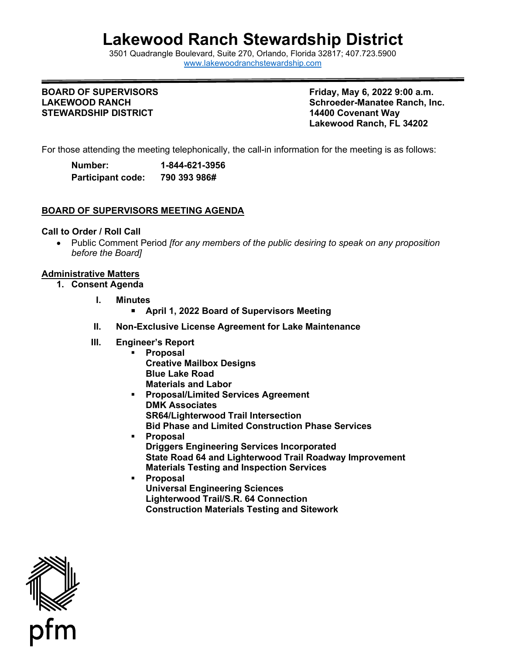# **Lakewood Ranch Stewardship District**

3501 Quadrangle B[oulevard, Suite 270, Orlando, Florida 32](http://www.lakewoodranchstewardship.com/)817; 407.723.5900 [www.lakewoodranchstewardship.com](http://www.lakewoodranchstewardship.com/) 

## **BOARD OF SUPERVISORS LAKEWOOD RANCH STEWARDSHIP DISTRICT 14400 Covenant Way**

**Friday, May 6, 2022 9:00 a.m. Schroeder-Manatee Ranch, Inc. Lakewood Ranch, FL 34202** 

For those attending the meeting telephonically, the call-in information for the meeting is as follows:

| Number:                  | 1-844-621-3956 |
|--------------------------|----------------|
| <b>Participant code:</b> | 790 393 986#   |

# **BOARD OF SUPERVISORS MEETING AGENDA**

#### **Call to Order / Roll Call**

• Public Comment Period *[for any members of the public desiring to speak on any proposition before the Board]* 

## **Administrative Matters**

- **1. Consent Agenda** 
	- **I. Minutes** 
		- **April 1, 2022 Board of Supervisors Meeting**
	- **II. Non-Exclusive License Agreement for Lake Maintenance**
	- **III. Engineer's Report** 
		- **Proposal Creative Mailbox Designs Blue Lake Road Materials and Labor**
		- **Proposal/Limited Services Agreement DMK Associates SR64/Lighterwood Trail Intersection Bid Phase and Limited Construction Phase Services**
		- **Proposal Driggers Engineering Services Incorporated State Road 64 and Lighterwood Trail Roadway Improvement Materials Testing and Inspection Services**
		- **Proposal Universal Engineering Sciences Lighterwood Trail/S.R. 64 Connection Construction Materials Testing and Sitework**